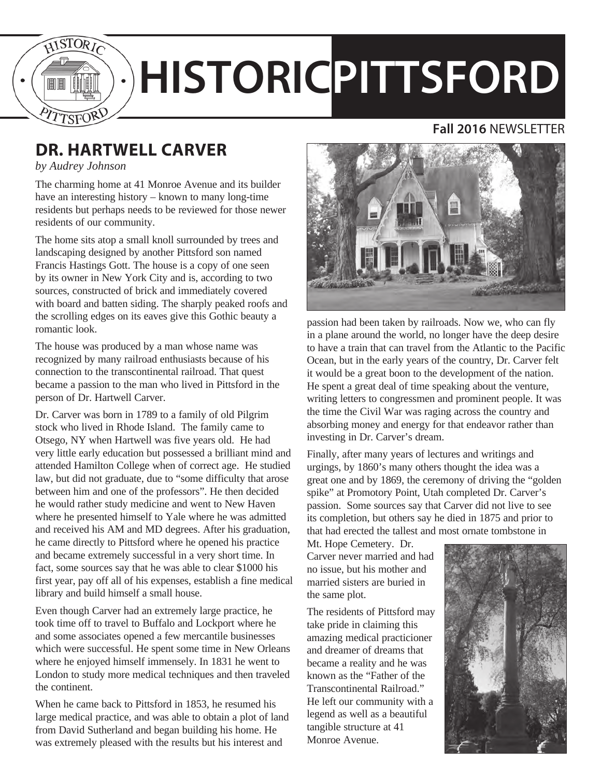

# **HISTORICPITTSFORD**

#### **Fall 2016** NEWSLETTER

# **DR. HARTWELL CARVER**

#### *by Audrey Johnson*

The charming home at 41 Monroe Avenue and its builder have an interesting history – known to many long-time residents but perhaps needs to be reviewed for those newer residents of our community.

The home sits atop a small knoll surrounded by trees and landscaping designed by another Pittsford son named Francis Hastings Gott. The house is a copy of one seen by its owner in New York City and is, according to two sources, constructed of brick and immediately covered with board and batten siding. The sharply peaked roofs and the scrolling edges on its eaves give this Gothic beauty a romantic look.

The house was produced by a man whose name was recognized by many railroad enthusiasts because of his connection to the transcontinental railroad. That quest became a passion to the man who lived in Pittsford in the person of Dr. Hartwell Carver.

Dr. Carver was born in 1789 to a family of old Pilgrim stock who lived in Rhode Island. The family came to Otsego, NY when Hartwell was five years old. He had very little early education but possessed a brilliant mind and attended Hamilton College when of correct age. He studied law, but did not graduate, due to "some difficulty that arose between him and one of the professors". He then decided he would rather study medicine and went to New Haven where he presented himself to Yale where he was admitted and received his AM and MD degrees. After his graduation, he came directly to Pittsford where he opened his practice and became extremely successful in a very short time. In fact, some sources say that he was able to clear \$1000 his first year, pay off all of his expenses, establish a fine medical library and build himself a small house.

Even though Carver had an extremely large practice, he took time off to travel to Buffalo and Lockport where he and some associates opened a few mercantile businesses which were successful. He spent some time in New Orleans where he enjoyed himself immensely. In 1831 he went to London to study more medical techniques and then traveled the continent.

When he came back to Pittsford in 1853, he resumed his large medical practice, and was able to obtain a plot of land from David Sutherland and began building his home. He was extremely pleased with the results but his interest and



passion had been taken by railroads. Now we, who can fly in a plane around the world, no longer have the deep desire to have a train that can travel from the Atlantic to the Pacific Ocean, but in the early years of the country, Dr. Carver felt it would be a great boon to the development of the nation. He spent a great deal of time speaking about the venture, writing letters to congressmen and prominent people. It was the time the Civil War was raging across the country and absorbing money and energy for that endeavor rather than investing in Dr. Carver's dream.

Finally, after many years of lectures and writings and urgings, by 1860's many others thought the idea was a great one and by 1869, the ceremony of driving the "golden spike" at Promotory Point, Utah completed Dr. Carver's passion. Some sources say that Carver did not live to see its completion, but others say he died in 1875 and prior to that had erected the tallest and most ornate tombstone in

Mt. Hope Cemetery. Dr. Carver never married and had no issue, but his mother and married sisters are buried in the same plot.

The residents of Pittsford may take pride in claiming this amazing medical practicioner and dreamer of dreams that became a reality and he was known as the "Father of the Transcontinental Railroad." He left our community with a legend as well as a beautiful tangible structure at 41 Monroe Avenue.

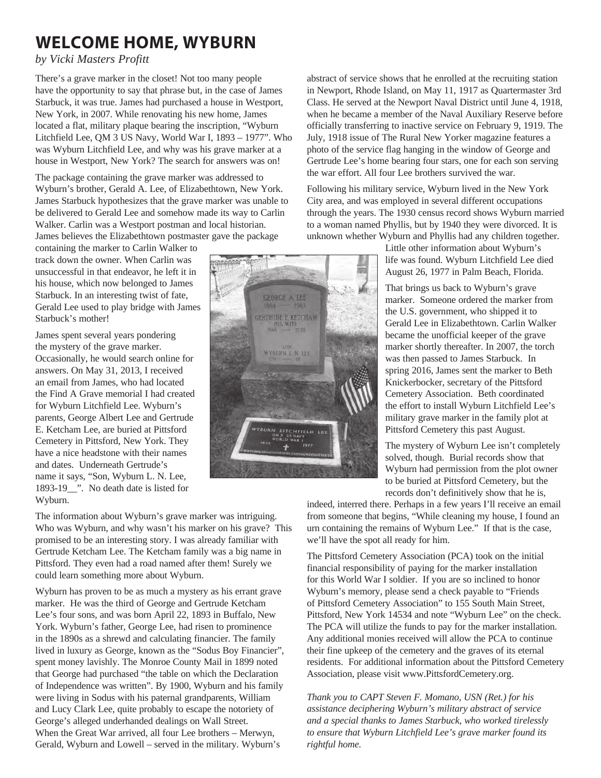## **WELCOME HOME, WYBURN**

*by Vicki Masters Profitt*

There's a grave marker in the closet! Not too many people have the opportunity to say that phrase but, in the case of James Starbuck, it was true. James had purchased a house in Westport, New York, in 2007. While renovating his new home, James located a flat, military plaque bearing the inscription, "Wyburn Litchfield Lee, QM 3 US Navy, World War I, 1893 – 1977". Who was Wyburn Litchfield Lee, and why was his grave marker at a house in Westport, New York? The search for answers was on!

The package containing the grave marker was addressed to Wyburn's brother, Gerald A. Lee, of Elizabethtown, New York. James Starbuck hypothesizes that the grave marker was unable to be delivered to Gerald Lee and somehow made its way to Carlin Walker. Carlin was a Westport postman and local historian. James believes the Elizabethtown postmaster gave the package

containing the marker to Carlin Walker to track down the owner. When Carlin was unsuccessful in that endeavor, he left it in his house, which now belonged to James Starbuck. In an interesting twist of fate, Gerald Lee used to play bridge with James Starbuck's mother!

James spent several years pondering the mystery of the grave marker. Occasionally, he would search online for answers. On May 31, 2013, I received an email from James, who had located the Find A Grave memorial I had created for Wyburn Litchfield Lee. Wyburn's parents, George Albert Lee and Gertrude E. Ketcham Lee, are buried at Pittsford Cemetery in Pittsford, New York. They have a nice headstone with their names and dates. Underneath Gertrude's name it says, "Son, Wyburn L. N. Lee, 1893-19\_\_". No death date is listed for Wyburn.

The information about Wyburn's grave marker was intriguing. Who was Wyburn, and why wasn't his marker on his grave? This promised to be an interesting story. I was already familiar with Gertrude Ketcham Lee. The Ketcham family was a big name in Pittsford. They even had a road named after them! Surely we could learn something more about Wyburn.

Wyburn has proven to be as much a mystery as his errant grave marker. He was the third of George and Gertrude Ketcham Lee's four sons, and was born April 22, 1893 in Buffalo, New York. Wyburn's father, George Lee, had risen to prominence in the 1890s as a shrewd and calculating financier. The family lived in luxury as George, known as the "Sodus Boy Financier", spent money lavishly. The Monroe County Mail in 1899 noted that George had purchased "the table on which the Declaration of Independence was written". By 1900, Wyburn and his family were living in Sodus with his paternal grandparents, William and Lucy Clark Lee, quite probably to escape the notoriety of George's alleged underhanded dealings on Wall Street. When the Great War arrived, all four Lee brothers – Merwyn, Gerald, Wyburn and Lowell – served in the military. Wyburn's

abstract of service shows that he enrolled at the recruiting station in Newport, Rhode Island, on May 11, 1917 as Quartermaster 3rd Class. He served at the Newport Naval District until June 4, 1918, when he became a member of the Naval Auxiliary Reserve before officially transferring to inactive service on February 9, 1919. The July, 1918 issue of The Rural New Yorker magazine features a photo of the service flag hanging in the window of George and Gertrude Lee's home bearing four stars, one for each son serving the war effort. All four Lee brothers survived the war.

Following his military service, Wyburn lived in the New York City area, and was employed in several different occupations through the years. The 1930 census record shows Wyburn married to a woman named Phyllis, but by 1940 they were divorced. It is unknown whether Wyburn and Phyllis had any children together.

> Little other information about Wyburn's life was found. Wyburn Litchfield Lee died August 26, 1977 in Palm Beach, Florida.

That brings us back to Wyburn's grave marker. Someone ordered the marker from the U.S. government, who shipped it to Gerald Lee in Elizabethtown. Carlin Walker became the unofficial keeper of the grave marker shortly thereafter. In 2007, the torch was then passed to James Starbuck. In spring 2016, James sent the marker to Beth Knickerbocker, secretary of the Pittsford Cemetery Association. Beth coordinated the effort to install Wyburn Litchfield Lee's military grave marker in the family plot at Pittsford Cemetery this past August.

The mystery of Wyburn Lee isn't completely solved, though. Burial records show that Wyburn had permission from the plot owner to be buried at Pittsford Cemetery, but the records don't definitively show that he is,

indeed, interred there. Perhaps in a few years I'll receive an email from someone that begins, "While cleaning my house, I found an urn containing the remains of Wyburn Lee." If that is the case, we'll have the spot all ready for him.

The Pittsford Cemetery Association (PCA) took on the initial financial responsibility of paying for the marker installation for this World War I soldier. If you are so inclined to honor Wyburn's memory, please send a check payable to "Friends of Pittsford Cemetery Association" to 155 South Main Street, Pittsford, New York 14534 and note "Wyburn Lee" on the check. The PCA will utilize the funds to pay for the marker installation. Any additional monies received will allow the PCA to continue their fine upkeep of the cemetery and the graves of its eternal residents. For additional information about the Pittsford Cemetery Association, please visit www.PittsfordCemetery.org.

*Thank you to CAPT Steven F. Momano, USN (Ret.) for his assistance deciphering Wyburn's military abstract of service and a special thanks to James Starbuck, who worked tirelessly to ensure that Wyburn Litchfield Lee's grave marker found its rightful home.* 

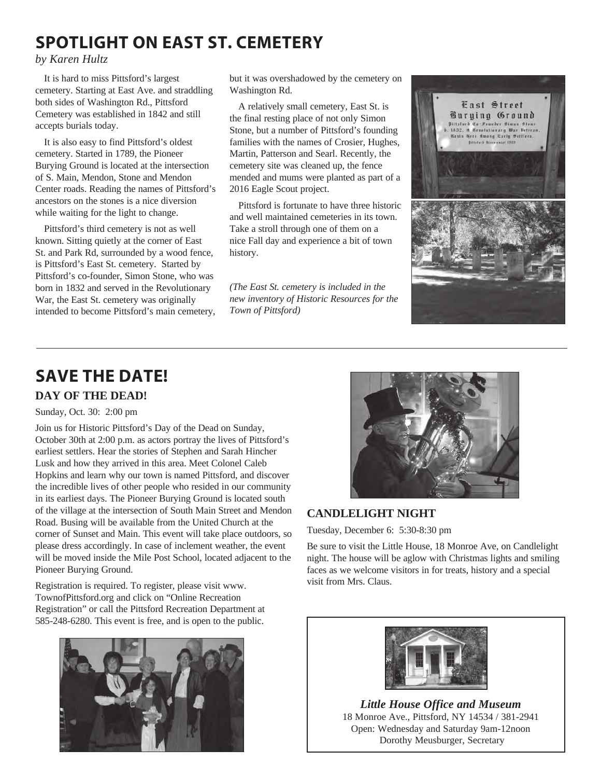## **SPOTLIGHT ON EAST ST. CEMETERY**

#### *by Karen Hultz*

It is hard to miss Pittsford's largest cemetery. Starting at East Ave. and straddling both sides of Washington Rd., Pittsford Cemetery was established in 1842 and still accepts burials today.

It is also easy to find Pittsford's oldest cemetery. Started in 1789, the Pioneer Burying Ground is located at the intersection of S. Main, Mendon, Stone and Mendon Center roads. Reading the names of Pittsford's ancestors on the stones is a nice diversion while waiting for the light to change.

Pittsford's third cemetery is not as well known. Sitting quietly at the corner of East St. and Park Rd, surrounded by a wood fence, is Pittsford's East St. cemetery. Started by Pittsford's co-founder, Simon Stone, who was born in 1832 and served in the Revolutionary War, the East St. cemetery was originally intended to become Pittsford's main cemetery, but it was overshadowed by the cemetery on Washington Rd.

A relatively small cemetery, East St. is the final resting place of not only Simon Stone, but a number of Pittsford's founding families with the names of Crosier, Hughes, Martin, Patterson and Searl. Recently, the cemetery site was cleaned up, the fence mended and mums were planted as part of a 2016 Eagle Scout project.

Pittsford is fortunate to have three historic and well maintained cemeteries in its town. Take a stroll through one of them on a nice Fall day and experience a bit of town history.

*(The East St. cemetery is included in the new inventory of Historic Resources for the Town of Pittsford)*



## **SAVE THE DATE! DAY OF THE DEAD!**

Sunday, Oct. 30: 2:00 pm

Join us for Historic Pittsford's Day of the Dead on Sunday, October 30th at 2:00 p.m. as actors portray the lives of Pittsford's earliest settlers. Hear the stories of Stephen and Sarah Hincher Lusk and how they arrived in this area. Meet Colonel Caleb Hopkins and learn why our town is named Pittsford, and discover the incredible lives of other people who resided in our community in its earliest days. The Pioneer Burying Ground is located south of the village at the intersection of South Main Street and Mendon Road. Busing will be available from the United Church at the corner of Sunset and Main. This event will take place outdoors, so please dress accordingly. In case of inclement weather, the event will be moved inside the Mile Post School, located adjacent to the Pioneer Burying Ground.

Registration is required. To register, please visit www. TownofPittsford.org and click on "Online Recreation Registration" or call the Pittsford Recreation Department at 585-248-6280. This event is free, and is open to the public.





#### **CANDLELIGHT NIGHT**

Tuesday, December 6: 5:30-8:30 pm

Be sure to visit the Little House, 18 Monroe Ave, on Candlelight night. The house will be aglow with Christmas lights and smiling faces as we welcome visitors in for treats, history and a special visit from Mrs. Claus.



*Little House Office and Museum* 18 Monroe Ave., Pittsford, NY 14534 / 381-2941 Open: Wednesday and Saturday 9am-12noon Dorothy Meusburger, Secretary